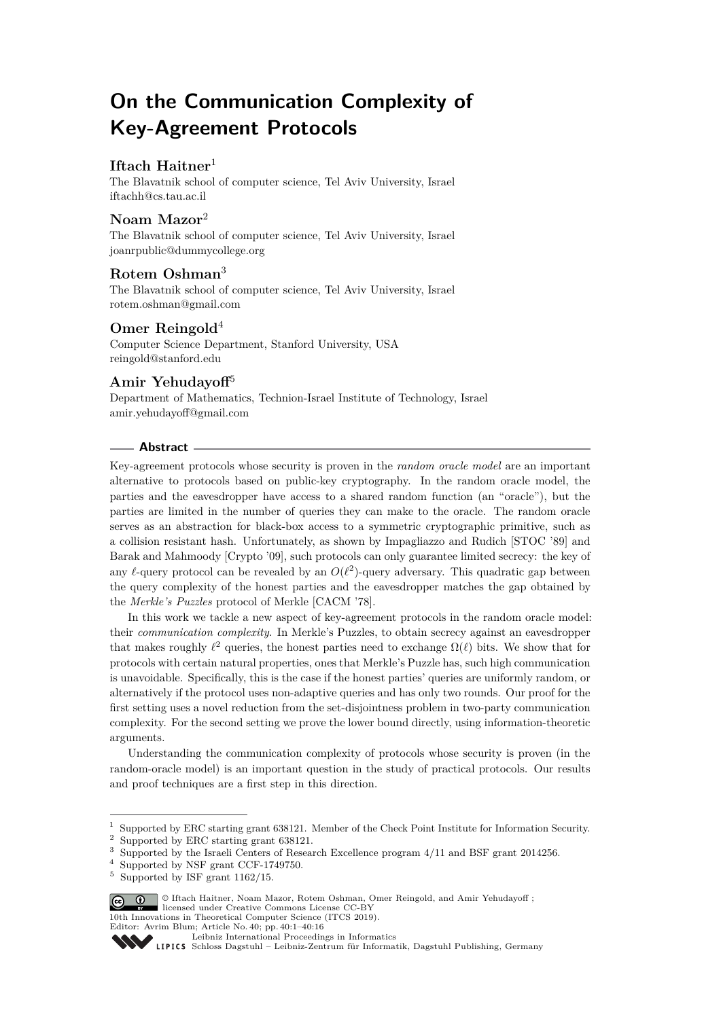# **On the Communication Complexity of Key-Agreement Protocols**

# **Iftach Haitner**<sup>1</sup>

The Blavatnik school of computer science, Tel Aviv University, Israel [iftachh@cs.tau.ac.il](mailto:iftachh@cs.tau.ac.il)

# **Noam Mazor**<sup>2</sup>

The Blavatnik school of computer science, Tel Aviv University, Israel [joanrpublic@dummycollege.org](mailto:joanrpublic@dummycollege.org)

# **Rotem Oshman**<sup>3</sup>

The Blavatnik school of computer science, Tel Aviv University, Israel [rotem.oshman@gmail.com](mailto:rotem.oshman@gmail.com)

# **Omer Reingold**<sup>4</sup>

Computer Science Department, Stanford University, USA [reingold@stanford.edu](mailto:reingold@stanford.edu)

# **Amir Yehudayoff**<sup>5</sup>

Department of Mathematics, Technion-Israel Institute of Technology, Israel [amir.yehudayoff@gmail.com](mailto:amir.yehudayoff@gmail.com)

## **Abstract**

Key-agreement protocols whose security is proven in the *random oracle model* are an important alternative to protocols based on public-key cryptography. In the random oracle model, the parties and the eavesdropper have access to a shared random function (an "oracle"), but the parties are limited in the number of queries they can make to the oracle. The random oracle serves as an abstraction for black-box access to a symmetric cryptographic primitive, such as a collision resistant hash. Unfortunately, as shown by Impagliazzo and Rudich [STOC '89] and Barak and Mahmoody [Crypto '09], such protocols can only guarantee limited secrecy: the key of any  $\ell$ -query protocol can be revealed by an  $O(\ell^2)$ -query adversary. This quadratic gap between the query complexity of the honest parties and the eavesdropper matches the gap obtained by the *Merkle's Puzzles* protocol of Merkle [CACM '78].

In this work we tackle a new aspect of key-agreement protocols in the random oracle model: their *communication complexity*. In Merkle's Puzzles, to obtain secrecy against an eavesdropper that makes roughly  $\ell^2$  queries, the honest parties need to exchange  $\Omega(\ell)$  bits. We show that for protocols with certain natural properties, ones that Merkle's Puzzle has, such high communication is unavoidable. Specifically, this is the case if the honest parties' queries are uniformly random, or alternatively if the protocol uses non-adaptive queries and has only two rounds. Our proof for the first setting uses a novel reduction from the set-disjointness problem in two-party communication complexity. For the second setting we prove the lower bound directly, using information-theoretic arguments.

Understanding the communication complexity of protocols whose security is proven (in the random-oracle model) is an important question in the study of practical protocols. Our results and proof techniques are a first step in this direction.

<sup>5</sup> Supported by ISF grant 1162/15.



10th Innovations in Theoretical Computer Science (ITCS 2019).

<sup>1</sup> Supported by ERC starting grant 638121. Member of the Check Point Institute for Information Security.

<sup>2</sup> Supported by ERC starting grant 638121.

<sup>3</sup> Supported by the Israeli Centers of Research Excellence program 4/11 and BSF grant 2014256.

<sup>4</sup> Supported by NSF grant CCF-1749750.

Editor: Avrim Blum; Article No. 40; pp. 40:1–40[:16](#page-15-0)

[Leibniz International Proceedings in Informatics](http://www.dagstuhl.de/lipics/)

Leibniz International Froceedings in Informatik, Dagstuhl Publishing, Germany<br>LIPICS [Schloss Dagstuhl – Leibniz-Zentrum für Informatik, Dagstuhl Publishing, Germany](http://www.dagstuhl.de)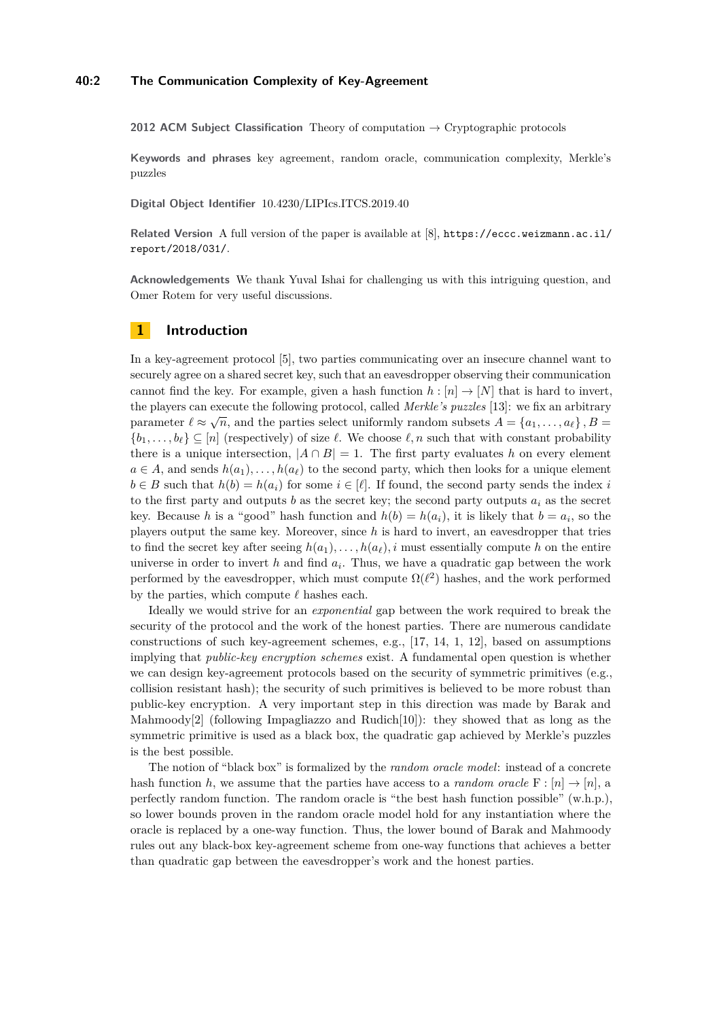## **40:2 The Communication Complexity of Key-Agreement**

**2012 ACM Subject Classification** Theory of computation → Cryptographic protocols

**Keywords and phrases** key agreement, random oracle, communication complexity, Merkle's puzzles

**Digital Object Identifier** [10.4230/LIPIcs.ITCS.2019.40](https://doi.org/10.4230/LIPIcs.ITCS.2019.40)

**Related Version** A full version of the paper is available at [\[8\]](#page-15-1), [https://eccc.weizmann.ac.il/](https://eccc.weizmann.ac.il/report/2018/031/) [report/2018/031/](https://eccc.weizmann.ac.il/report/2018/031/).

**Acknowledgements** We thank Yuval Ishai for challenging us with this intriguing question, and Omer Rotem for very useful discussions.

## **1 Introduction**

In a key-agreement protocol [\[5\]](#page-15-2), two parties communicating over an insecure channel want to securely agree on a shared secret key, such that an eavesdropper observing their communication cannot find the key. For example, given a hash function  $h : [n] \rightarrow [N]$  that is hard to invert, the players can execute the following protocol, called *Merkle's puzzles* [\[13\]](#page-15-3): we fix an arbitrary parameter  $\ell \approx \sqrt{n}$ , and the parties select uniformly random subsets  $A = \{a_1, \ldots, a_\ell\}$ ,  $B =$  ${b_1, \ldots, b_\ell} \subseteq [n]$  (respectively) of size  $\ell$ . We choose  $\ell, n$  such that with constant probability there is a unique intersection,  $|A \cap B| = 1$ . The first party evaluates *h* on every element  $a \in A$ , and sends  $h(a_1), \ldots, h(a_\ell)$  to the second party, which then looks for a unique element  $b \in B$  such that  $h(b) = h(a_i)$  for some  $i \in [\ell]$ . If found, the second party sends the index *i* to the first party and outputs *b* as the secret key; the second party outputs  $a_i$  as the secret key. Because *h* is a "good" hash function and  $h(b) = h(a_i)$ , it is likely that  $b = a_i$ , so the players output the same key. Moreover, since *h* is hard to invert, an eavesdropper that tries to find the secret key after seeing  $h(a_1), \ldots, h(a_\ell), i$  must essentially compute *h* on the entire universe in order to invert  $h$  and find  $a_i$ . Thus, we have a quadratic gap between the work performed by the eavesdropper, which must compute  $\Omega(\ell^2)$  hashes, and the work performed by the parties, which compute  $\ell$  hashes each.

Ideally we would strive for an *exponential* gap between the work required to break the security of the protocol and the work of the honest parties. There are numerous candidate constructions of such key-agreement schemes, e.g., [\[17,](#page-15-4) [14,](#page-15-5) [1,](#page-15-6) [12\]](#page-15-7), based on assumptions implying that *public-key encryption schemes* exist. A fundamental open question is whether we can design key-agreement protocols based on the security of symmetric primitives (e.g., collision resistant hash); the security of such primitives is believed to be more robust than public-key encryption. A very important step in this direction was made by Barak and Mahmoody<sup>[\[2\]](#page-15-8)</sup> (following Impagliazzo and Rudich<sup>[\[10\]](#page-15-9)</sup>): they showed that as long as the symmetric primitive is used as a black box, the quadratic gap achieved by Merkle's puzzles is the best possible.

The notion of "black box" is formalized by the *random oracle model*: instead of a concrete hash function *h*, we assume that the parties have access to a *random oracle*  $F : [n] \rightarrow [n]$ , a perfectly random function. The random oracle is "the best hash function possible" (w.h.p.), so lower bounds proven in the random oracle model hold for any instantiation where the oracle is replaced by a one-way function. Thus, the lower bound of Barak and Mahmoody rules out any black-box key-agreement scheme from one-way functions that achieves a better than quadratic gap between the eavesdropper's work and the honest parties.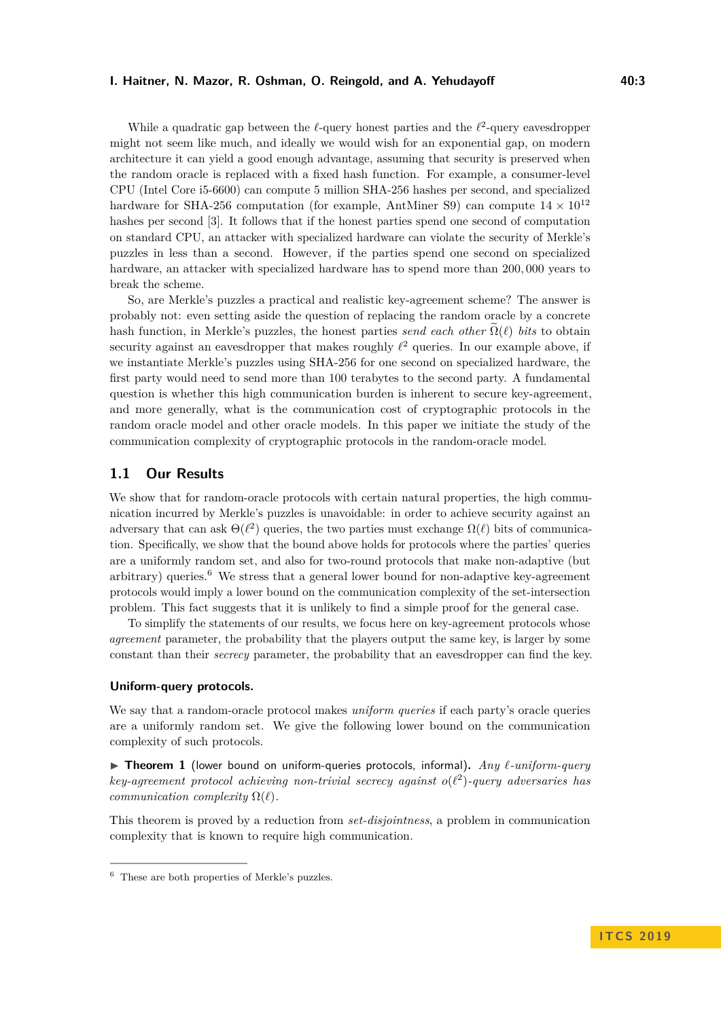## **I. Haitner, N. Mazor, R. Oshman, O. Reingold, and A. Yehudayoff The Constant Constant Ad.3**

While a quadratic gap between the  $\ell$ -query honest parties and the  $\ell^2$ -query eavesdropper might not seem like much, and ideally we would wish for an exponential gap, on modern architecture it can yield a good enough advantage, assuming that security is preserved when the random oracle is replaced with a fixed hash function. For example, a consumer-level CPU (Intel Core i5-6600) can compute 5 million SHA-256 hashes per second, and specialized hardware for SHA-256 computation (for example, AntMiner S9) can compute  $14 \times 10^{12}$ hashes per second [\[3\]](#page-15-10). It follows that if the honest parties spend one second of computation on standard CPU, an attacker with specialized hardware can violate the security of Merkle's puzzles in less than a second. However, if the parties spend one second on specialized hardware, an attacker with specialized hardware has to spend more than 200*,* 000 years to break the scheme.

So, are Merkle's puzzles a practical and realistic key-agreement scheme? The answer is probably not: even setting aside the question of replacing the random oracle by a concrete hash function, in Merkle's puzzles, the honest parties *send each other*  $\Omega(\ell)$  *bits* to obtain security against an eavesdropper that makes roughly  $\ell^2$  queries. In our example above, if we instantiate Merkle's puzzles using SHA-256 for one second on specialized hardware, the first party would need to send more than 100 terabytes to the second party. A fundamental question is whether this high communication burden is inherent to secure key-agreement, and more generally, what is the communication cost of cryptographic protocols in the random oracle model and other oracle models. In this paper we initiate the study of the communication complexity of cryptographic protocols in the random-oracle model.

# **1.1 Our Results**

We show that for random-oracle protocols with certain natural properties, the high communication incurred by Merkle's puzzles is unavoidable: in order to achieve security against an adversary that can ask  $\Theta(\ell^2)$  queries, the two parties must exchange  $\Omega(\ell)$  bits of communication. Specifically, we show that the bound above holds for protocols where the parties' queries are a uniformly random set, and also for two-round protocols that make non-adaptive (but arbitrary) queries.<sup>[6](#page-2-0)</sup> We stress that a general lower bound for non-adaptive key-agreement protocols would imply a lower bound on the communication complexity of the set-intersection problem. This fact suggests that it is unlikely to find a simple proof for the general case.

To simplify the statements of our results, we focus here on key-agreement protocols whose *agreement* parameter, the probability that the players output the same key, is larger by some constant than their *secrecy* parameter, the probability that an eavesdropper can find the key.

#### **Uniform-query protocols.**

We say that a random-oracle protocol makes *uniform queries* if each party's oracle queries are a uniformly random set. We give the following lower bound on the communication complexity of such protocols.

▶ Theorem 1 (lower bound on uniform-queries protocols, informal). *Any*  $\ell$ -uniform-query  $key\text{-}agreement\ protocol\ achieving\ non-trivial\ secrecy\ against\ o(\ell^2)\text{-}query\ adversaries\ has$ *communication complexity*  $\Omega(\ell)$ *.* 

This theorem is proved by a reduction from *set-disjointness*, a problem in communication complexity that is known to require high communication.

<span id="page-2-0"></span><sup>6</sup> These are both properties of Merkle's puzzles.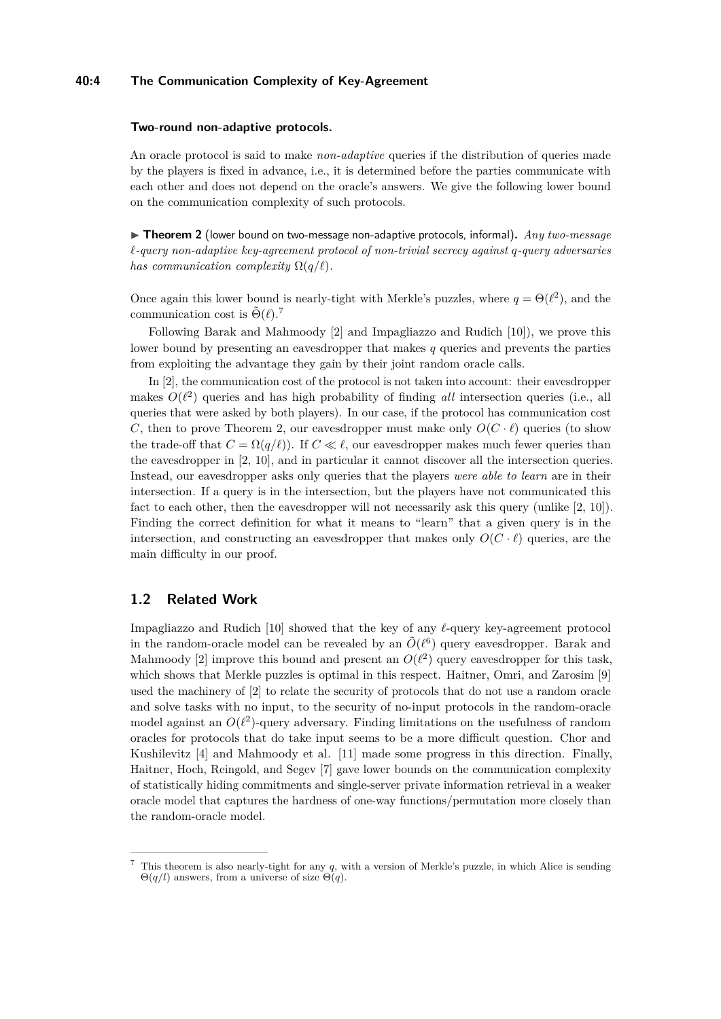## **40:4 The Communication Complexity of Key-Agreement**

#### **Two-round non-adaptive protocols.**

An oracle protocol is said to make *non-adaptive* queries if the distribution of queries made by the players is fixed in advance, i.e., it is determined before the parties communicate with each other and does not depend on the oracle's answers. We give the following lower bound on the communication complexity of such protocols.

<span id="page-3-1"></span>▶ **Theorem 2** (lower bound on two-message non-adaptive protocols, informal). *Any two-message `-query non-adaptive key-agreement protocol of non-trivial secrecy against q-query adversaries has communication complexity*  $\Omega(q/\ell)$ *.* 

Once again this lower bound is nearly-tight with Merkle's puzzles, where  $q = \Theta(\ell^2)$ , and the communication cost is  $\tilde{\Theta}(\ell)$ .<sup>[7](#page-3-0)</sup>

Following Barak and Mahmoody [\[2\]](#page-15-8) and Impagliazzo and Rudich [\[10\]](#page-15-9)), we prove this lower bound by presenting an eavesdropper that makes *q* queries and prevents the parties from exploiting the advantage they gain by their joint random oracle calls.

In [\[2\]](#page-15-8), the communication cost of the protocol is not taken into account: their eavesdropper makes  $O(\ell^2)$  queries and has high probability of finding *all* intersection queries (i.e., all queries that were asked by both players). In our case, if the protocol has communication cost *C*, then to prove Theorem [2,](#page-3-1) our eavesdropper must make only  $O(C \cdot \ell)$  queries (to show the trade-off that  $C = \Omega(q/\ell)$ ). If  $C \ll \ell$ , our eavesdropper makes much fewer queries than the eavesdropper in [\[2,](#page-15-8) [10\]](#page-15-9), and in particular it cannot discover all the intersection queries. Instead, our eavesdropper asks only queries that the players *were able to learn* are in their intersection. If a query is in the intersection, but the players have not communicated this fact to each other, then the eavesdropper will not necessarily ask this query (unlike [\[2,](#page-15-8) [10\]](#page-15-9)). Finding the correct definition for what it means to "learn" that a given query is in the intersection, and constructing an eavesdropper that makes only  $O(C \cdot \ell)$  queries, are the main difficulty in our proof.

## **1.2 Related Work**

Impagliazzo and Rudich  $[10]$  showed that the key of any  $\ell$ -query key-agreement protocol in the random-oracle model can be revealed by an  $\tilde{O}(\ell^6)$  query eavesdropper. Barak and Mahmoody [\[2\]](#page-15-8) improve this bound and present an  $O(\ell^2)$  query eavesdropper for this task, which shows that Merkle puzzles is optimal in this respect. Haitner, Omri, and Zarosim [\[9\]](#page-15-11) used the machinery of [\[2\]](#page-15-8) to relate the security of protocols that do not use a random oracle and solve tasks with no input, to the security of no-input protocols in the random-oracle model against an  $O(\ell^2)$ -query adversary. Finding limitations on the usefulness of random oracles for protocols that do take input seems to be a more difficult question. Chor and Kushilevitz [\[4\]](#page-15-12) and Mahmoody et al. [\[11\]](#page-15-13) made some progress in this direction. Finally, Haitner, Hoch, Reingold, and Segev [\[7\]](#page-15-14) gave lower bounds on the communication complexity of statistically hiding commitments and single-server private information retrieval in a weaker oracle model that captures the hardness of one-way functions/permutation more closely than the random-oracle model.

<span id="page-3-0"></span><sup>7</sup> This theorem is also nearly-tight for any *q*, with a version of Merkle's puzzle, in which Alice is sending Θ(*q/l*) answers, from a universe of size Θ(*q*).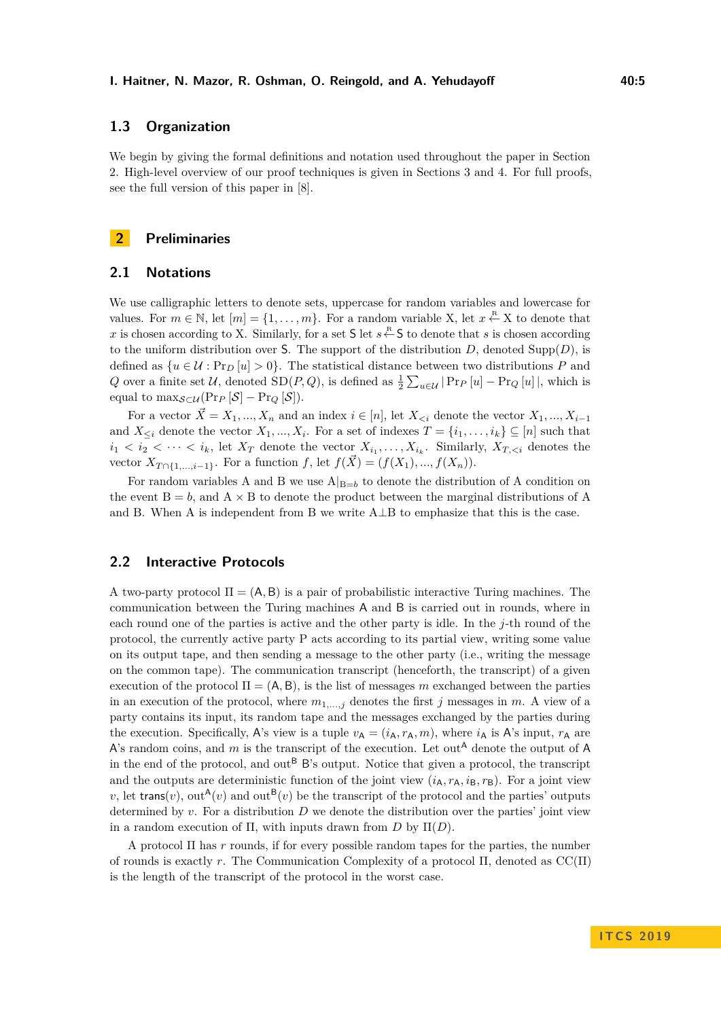# **1.3 Organization**

We begin by giving the formal definitions and notation used throughout the paper in Section 2. High-level overview of our proof techniques is given in Sections 3 and 4. For full proofs, see the full version of this paper in [\[8\]](#page-15-1).

## **2 Preliminaries**

## **2.1 Notations**

We use calligraphic letters to denote sets, uppercase for random variables and lowercase for values. For  $m \in \mathbb{N}$ , let  $[m] = \{1, \ldots, m\}$ . For a random variable X, let  $x \stackrel{\text{R}}{\leftarrow} X$  to denote that *x* is chosen according to X. Similarly, for a set S let  $s \stackrel{\text{R}}{\leftarrow}$  S to denote that *s* is chosen according to the uniform distribution over S. The support of the distribution  $D$ , denoted Supp $(D)$ , is defined as  $\{u \in \mathcal{U} : \Pr_D[u] > 0\}$ . The statistical distance between two distributions P and *Q* over a finite set U, denoted  $SD(P, Q)$ , is defined as  $\frac{1}{2} \sum_{u \in U} |Pr_P[u] - Pr_Q[u]$ , which is equal to  $\max_{\mathcal{S}\subset\mathcal{U}}(\Pr_P[\mathcal{S}]-\Pr_Q[\mathcal{S}]).$ 

For a vector  $\vec{X} = X_1, ..., X_n$  and an index  $i \in [n]$ , let  $X_{\leq i}$  denote the vector  $X_1, ..., X_{i-1}$ and  $X_{\leq i}$  denote the vector  $X_1, ..., X_i$ . For a set of indexes  $T = \{i_1, ..., i_k\} \subseteq [n]$  such that  $i_1 < i_2 < \cdots < i_k$ , let  $X_T$  denote the vector  $X_{i_1}, \ldots, X_{i_k}$ . Similarly,  $X_{T, \langle i \rangle}$  denotes the vector  $X_{T \cap \{1,...,i-1\}}$ . For a function *f*, let  $f(\vec{X}) = (f(X_1),...,f(X_n))$ .

For random variables A and B we use  $A|_{B=b}$  to denote the distribution of A condition on the event  $B = b$ , and  $A \times B$  to denote the product between the marginal distributions of A and B. When A is independent from B we write A⊥B to emphasize that this is the case.

## **2.2 Interactive Protocols**

A two-party protocol  $\Pi = (A, B)$  is a pair of probabilistic interactive Turing machines. The communication between the Turing machines A and B is carried out in rounds, where in each round one of the parties is active and the other party is idle. In the *j*-th round of the protocol, the currently active party P acts according to its partial view, writing some value on its output tape, and then sending a message to the other party (i.e., writing the message on the common tape). The communication transcript (henceforth, the transcript) of a given execution of the protocol  $\Pi = (A, B)$ , is the list of messages m exchanged between the parties in an execution of the protocol, where  $m_{1,\dots,j}$  denotes the first *j* messages in *m*. A view of a party contains its input, its random tape and the messages exchanged by the parties during the execution. Specifically, A's view is a tuple  $v_A = (i_A, r_A, m)$ , where  $i_A$  is A's input,  $r_A$  are A's random coins, and  $m$  is the transcript of the execution. Let out<sup>A</sup> denote the output of A in the end of the protocol, and out<sup>B</sup> B's output. Notice that given a protocol, the transcript and the outputs are deterministic function of the joint view  $(i_A, r_A, i_B, r_B)$ . For a joint view v, let trans(v), out<sup>A</sup>(v) and out<sup>B</sup>(v) be the transcript of the protocol and the parties' outputs determined by *v*. For a distribution *D* we denote the distribution over the parties' joint view in a random execution of  $\Pi$ , with inputs drawn from *D* by  $\Pi(D)$ .

A protocol Π has *r* rounds, if for every possible random tapes for the parties, the number of rounds is exactly *r*. The Communication Complexity of a protocol Π, denoted as CC(Π) is the length of the transcript of the protocol in the worst case.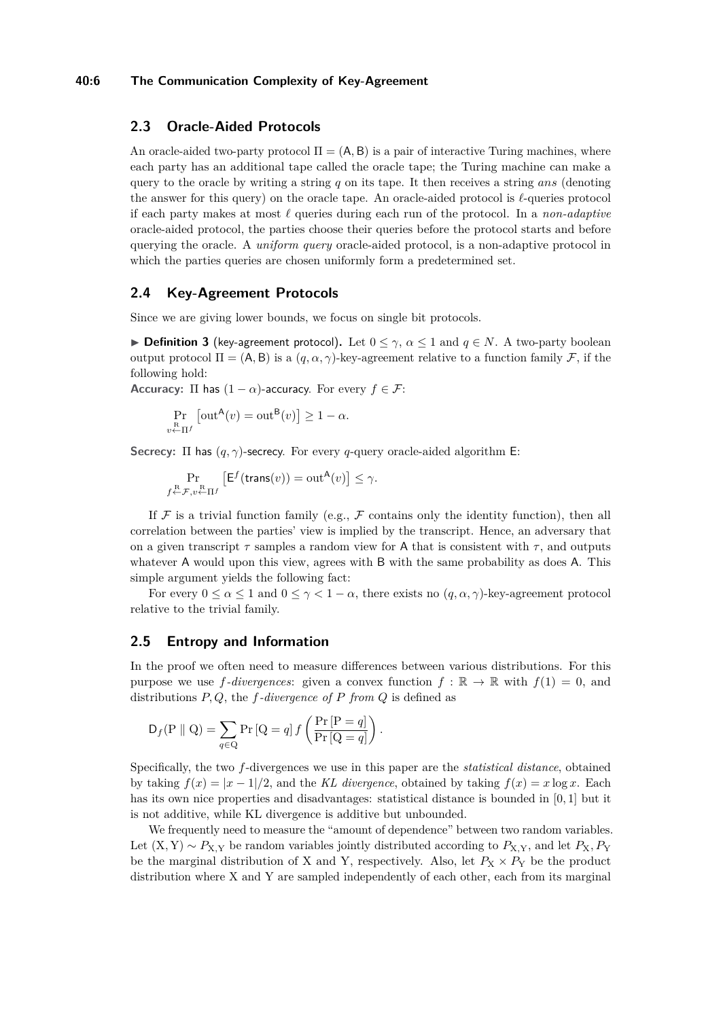## **40:6 The Communication Complexity of Key-Agreement**

## **2.3 Oracle-Aided Protocols**

An oracle-aided two-party protocol  $\Pi = (A, B)$  is a pair of interactive Turing machines, where each party has an additional tape called the oracle tape; the Turing machine can make a query to the oracle by writing a string *q* on its tape. It then receives a string *ans* (denoting the answer for this query) on the oracle tape. An oracle-aided protocol is  $\ell$ -queries protocol if each party makes at most  $\ell$  queries during each run of the protocol. In a *non-adaptive* oracle-aided protocol, the parties choose their queries before the protocol starts and before querying the oracle. A *uniform query* oracle-aided protocol, is a non-adaptive protocol in which the parties queries are chosen uniformly form a predetermined set.

## **2.4 Key-Agreement Protocols**

Since we are giving lower bounds, we focus on single bit protocols.

**► Definition 3** (key-agreement protocol). Let  $0 \leq \gamma$ ,  $\alpha \leq 1$  and  $q \in N$ . A two-party boolean output protocol Π = (A, B) is a  $(q, \alpha, \gamma)$ -key-agreement relative to a function family F, if the following hold:

**Accuracy:**  $\Pi$  has  $(1 - \alpha)$ -accuracy. For every  $f \in \mathcal{F}$ :

$$
\Pr_{v \leftarrow \Pi f} \left[ \text{out}^{\mathsf{A}}(v) = \text{out}^{\mathsf{B}}(v) \right] \ge 1 - \alpha.
$$

**Secrecy:** Π has (*q, γ*)-secrecy. For every *q*-query oracle-aided algorithm E:

$$
\Pr_{f \leftarrow \mathcal{F}, v \leftarrow \Pi^f} \left[ \mathsf{E}^f(\mathsf{trans}(v)) = \operatorname{out}^{\mathsf{A}}(v) \right] \le \gamma.
$$

If  $\mathcal F$  is a trivial function family (e.g.,  $\mathcal F$  contains only the identity function), then all correlation between the parties' view is implied by the transcript. Hence, an adversary that on a given transcript  $\tau$  samples a random view for A that is consistent with  $\tau$ , and outputs whatever A would upon this view, agrees with B with the same probability as does A. This simple argument yields the following fact:

For every  $0 \le \alpha \le 1$  and  $0 \le \gamma \le 1 - \alpha$ , there exists no  $(q, \alpha, \gamma)$ -key-agreement protocol relative to the trivial family.

## **2.5 Entropy and Information**

In the proof we often need to measure differences between various distributions. For this purpose we use  $f$ *-divergences*: given a convex function  $f : \mathbb{R} \to \mathbb{R}$  with  $f(1) = 0$ , and distributions *P, Q*, the *f-divergence of P from Q* is defined as

$$
\mathsf{D}_{f}(\mathsf{P} \parallel \mathsf{Q}) = \sum_{q \in \mathsf{Q}} \Pr\left[\mathsf{Q} = q\right] f\left(\frac{\Pr\left[\mathsf{P} = q\right]}{\Pr\left[\mathsf{Q} = q\right]}\right).
$$

Specifically, the two *f*-divergences we use in this paper are the *statistical distance*, obtained by taking  $f(x) = |x-1|/2$ , and the *KL divergence*, obtained by taking  $f(x) = x \log x$ . Each has its own nice properties and disadvantages: statistical distance is bounded in [0*,* 1] but it is not additive, while KL divergence is additive but unbounded.

We frequently need to measure the "amount of dependence" between two random variables. Let  $(X, Y) \sim P_{X,Y}$  be random variables jointly distributed according to  $P_{X,Y}$ , and let  $P_X, P_Y$ be the marginal distribution of X and Y, respectively. Also, let  $P_X \times P_Y$  be the product distribution where X and Y are sampled independently of each other, each from its marginal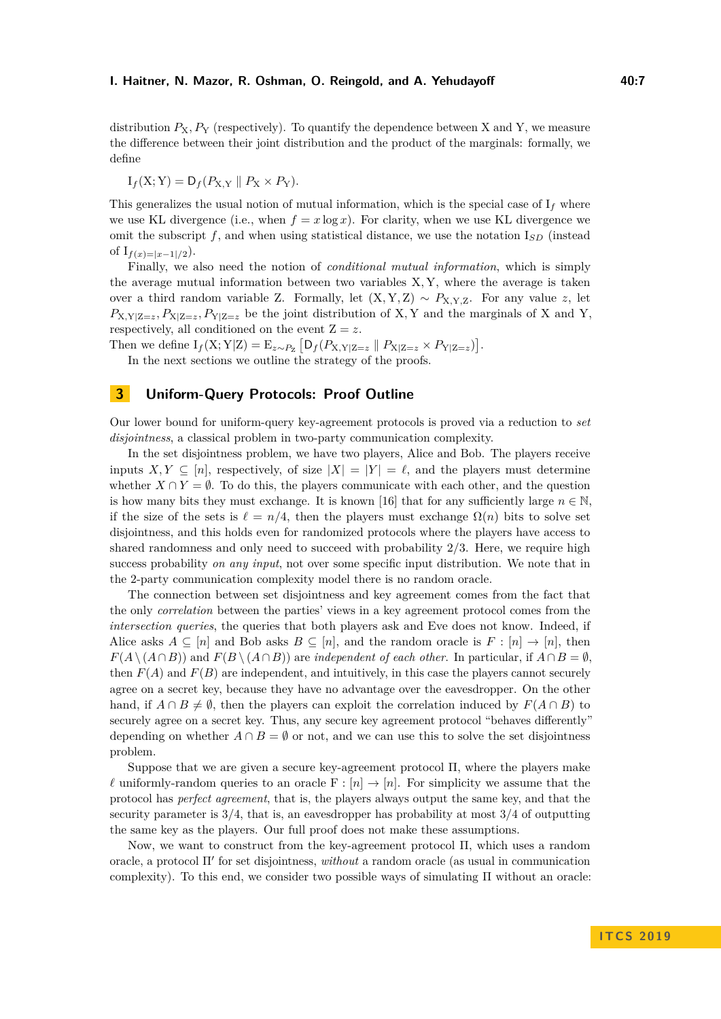## **I. Haitner, N. Mazor, R. Oshman, O. Reingold, and A. Yehudayoff The Construction American Adders**

distribution  $P_X, P_Y$  (respectively). To quantify the dependence between X and Y, we measure the difference between their joint distribution and the product of the marginals: formally, we define

$$
I_f(X;Y) = D_f(P_{X,Y} || P_X \times P_Y).
$$

This generalizes the usual notion of mutual information, which is the special case of  $I_f$  where we use KL divergence (i.e., when  $f = x \log x$ ). For clarity, when we use KL divergence we omit the subscript  $f$ , and when using statistical distance, we use the notation  $I_{SD}$  (instead of  $I_{f(x)=|x-1|/2}$ .

Finally, we also need the notion of *conditional mutual information*, which is simply the average mutual information between two variables X*,* Y, where the average is taken over a third random variable Z. Formally, let  $(X, Y, Z) \sim P_{X, Y, Z}$ . For any value *z*, let  $P_{X,Y|Z=z}, P_{X|Z=z}, P_{Y|Z=z}$  be the joint distribution of X, Y and the marginals of X and Y, respectively, all conditioned on the event  $Z = z$ .

Then we define  $I_f(X; Y|Z) = E_{z \sim P_Z} [D_f(P_{X,Y|Z=z} || P_{X|Z=z} \times P_{Y|Z=z})].$ 

In the next sections we outline the strategy of the proofs.

# **3 Uniform-Query Protocols: Proof Outline**

Our lower bound for uniform-query key-agreement protocols is proved via a reduction to *set disjointness*, a classical problem in two-party communication complexity.

In the set disjointness problem, we have two players, Alice and Bob. The players receive inputs  $X, Y \subseteq [n]$ , respectively, of size  $|X| = |Y| = \ell$ , and the players must determine whether  $X \cap Y = \emptyset$ . To do this, the players communicate with each other, and the question is how many bits they must exchange. It is known [\[16\]](#page-15-15) that for any sufficiently large  $n \in \mathbb{N}$ . if the size of the sets is  $\ell = n/4$ , then the players must exchange  $\Omega(n)$  bits to solve set disjointness, and this holds even for randomized protocols where the players have access to shared randomness and only need to succeed with probability 2*/*3. Here, we require high success probability *on any input*, not over some specific input distribution. We note that in the 2-party communication complexity model there is no random oracle.

The connection between set disjointness and key agreement comes from the fact that the only *correlation* between the parties' views in a key agreement protocol comes from the *intersection queries*, the queries that both players ask and Eve does not know. Indeed, if Alice asks  $A \subseteq [n]$  and Bob asks  $B \subseteq [n]$ , and the random oracle is  $F : [n] \to [n]$ , then  $F(A \setminus (A \cap B))$  and  $F(B \setminus (A \cap B))$  are *independent of each other*. In particular, if  $A \cap B = \emptyset$ . then  $F(A)$  and  $F(B)$  are independent, and intuitively, in this case the players cannot securely agree on a secret key, because they have no advantage over the eavesdropper. On the other hand, if  $A \cap B \neq \emptyset$ , then the players can exploit the correlation induced by  $F(A \cap B)$  to securely agree on a secret key. Thus, any secure key agreement protocol "behaves differently" depending on whether  $A \cap B = \emptyset$  or not, and we can use this to solve the set disjointness problem.

Suppose that we are given a secure key-agreement protocol Π, where the players make  $\ell$  uniformly-random queries to an oracle F :  $[n] \to [n]$ . For simplicity we assume that the protocol has *perfect agreement*, that is, the players always output the same key, and that the security parameter is 3*/*4, that is, an eavesdropper has probability at most 3*/*4 of outputting the same key as the players. Our full proof does not make these assumptions.

Now, we want to construct from the key-agreement protocol Π, which uses a random oracle, a protocol Π' for set disjointness, *without* a random oracle (as usual in communication complexity). To this end, we consider two possible ways of simulating  $\Pi$  without an oracle: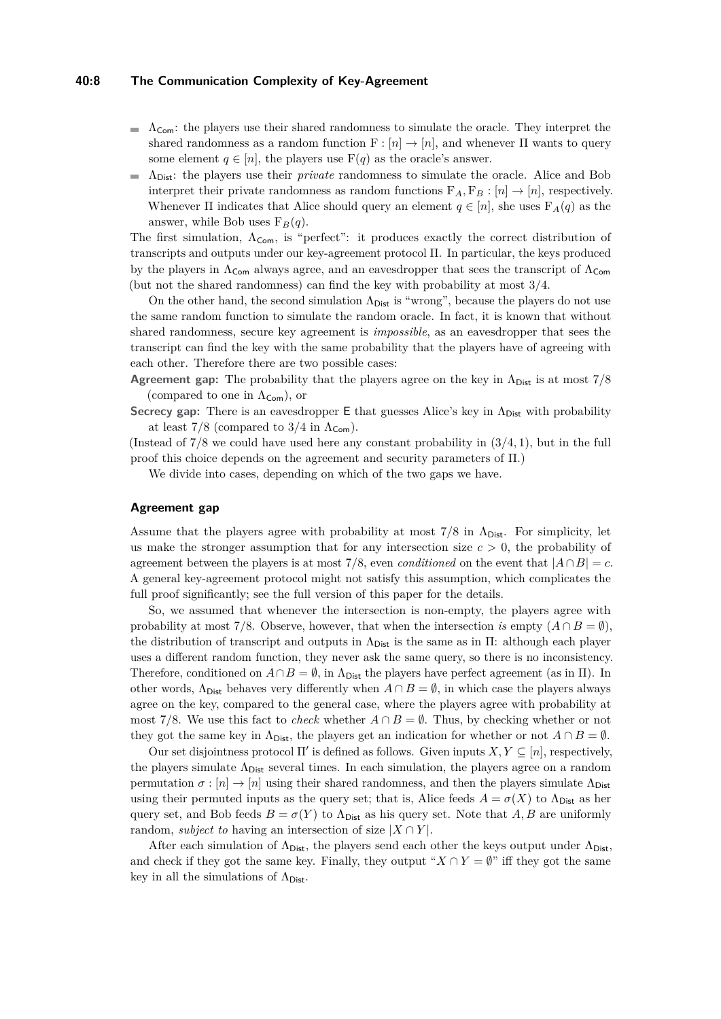## **40:8 The Communication Complexity of Key-Agreement**

- $\Delta_{\text{Com}}$ : the players use their shared randomness to simulate the oracle. They interpret the shared randomness as a random function  $F : [n] \to [n]$ , and whenever  $\Pi$  wants to query some element  $q \in [n]$ , the players use  $F(q)$  as the oracle's answer.
- ΛDist: the players use their *private* randomness to simulate the oracle. Alice and Bob interpret their private randomness as random functions  $F_A, F_B : [n] \rightarrow [n]$ , respectively. Whenever  $\Pi$  indicates that Alice should query an element  $q \in [n]$ , she uses  $F_A(q)$  as the answer, while Bob uses  $F_B(q)$ .

The first simulation,  $\Lambda_{\text{Com}}$ , is "perfect": it produces exactly the correct distribution of transcripts and outputs under our key-agreement protocol Π. In particular, the keys produced by the players in  $\Lambda_{\text{Com}}$  always agree, and an eavesdropper that sees the transcript of  $\Lambda_{\text{Com}}$ (but not the shared randomness) can find the key with probability at most 3*/*4.

On the other hand, the second simulation  $\Lambda_{\text{Dist}}$  is "wrong", because the players do not use the same random function to simulate the random oracle. In fact, it is known that without shared randomness, secure key agreement is *impossible*, as an eavesdropper that sees the transcript can find the key with the same probability that the players have of agreeing with each other. Therefore there are two possible cases:

**Agreement gap:** The probability that the players agree on the key in  $\Lambda_{\text{Dist}}$  is at most 7/8 (compared to one in  $\Lambda_{\mathsf{Com}}$ ), or

Secrecy gap: There is an eavesdropper E that guesses Alice's key in  $Λ<sub>Dist</sub>$  with probability at least  $7/8$  (compared to  $3/4$  in  $\Lambda_{\text{Com}}$ ).

(Instead of 7*/*8 we could have used here any constant probability in (3*/*4*,* 1), but in the full proof this choice depends on the agreement and security parameters of Π.)

We divide into cases, depending on which of the two gaps we have.

## **Agreement gap**

Assume that the players agree with probability at most  $7/8$  in  $\Lambda_{\text{Dist}}$ . For simplicity, let us make the stronger assumption that for any intersection size  $c > 0$ , the probability of agreement between the players is at most 7/8, even *conditioned* on the event that  $|A \cap B| = c$ . A general key-agreement protocol might not satisfy this assumption, which complicates the full proof significantly; see the full version of this paper for the details.

So, we assumed that whenever the intersection is non-empty, the players agree with probability at most 7/8. Observe, however, that when the intersection *is* empty  $(A \cap B = \emptyset)$ , the distribution of transcript and outputs in  $\Lambda_{\text{Dist}}$  is the same as in Π: although each player uses a different random function, they never ask the same query, so there is no inconsistency. Therefore, conditioned on  $A \cap B = \emptyset$ , in  $\Lambda_{\text{Dist}}$  the players have perfect agreement (as in  $\Pi$ ). In other words,  $\Lambda_{\text{Dist}}$  behaves very differently when  $A \cap B = \emptyset$ , in which case the players always agree on the key, compared to the general case, where the players agree with probability at most 7/8. We use this fact to *check* whether  $A \cap B = \emptyset$ . Thus, by checking whether or not they got the same key in  $\Lambda_{\text{Dist}}$ , the players get an indication for whether or not  $A \cap B = \emptyset$ .

Our set disjointness protocol  $\Pi'$  is defined as follows. Given inputs  $X, Y \subseteq [n]$ , respectively, the players simulate  $\Lambda_{\text{Dist}}$  several times. In each simulation, the players agree on a random permutation  $\sigma : [n] \to [n]$  using their shared randomness, and then the players simulate  $\Lambda_{\text{Dist}}$ using their permuted inputs as the query set; that is, Alice feeds  $A = \sigma(X)$  to  $\Lambda_{\text{Dist}}$  as her query set, and Bob feeds  $B = \sigma(Y)$  to  $\Lambda_{\text{Dist}}$  as his query set. Note that *A*, *B* are uniformly random, *subject to* having an intersection of size  $|X \cap Y|$ .

After each simulation of  $\Lambda_{\text{Dist}}$ , the players send each other the keys output under  $\Lambda_{\text{Dist}}$ . and check if they got the same key. Finally, they output " $X \cap Y = \emptyset$ " iff they got the same key in all the simulations of  $\Lambda_{\text{Dist}}$ .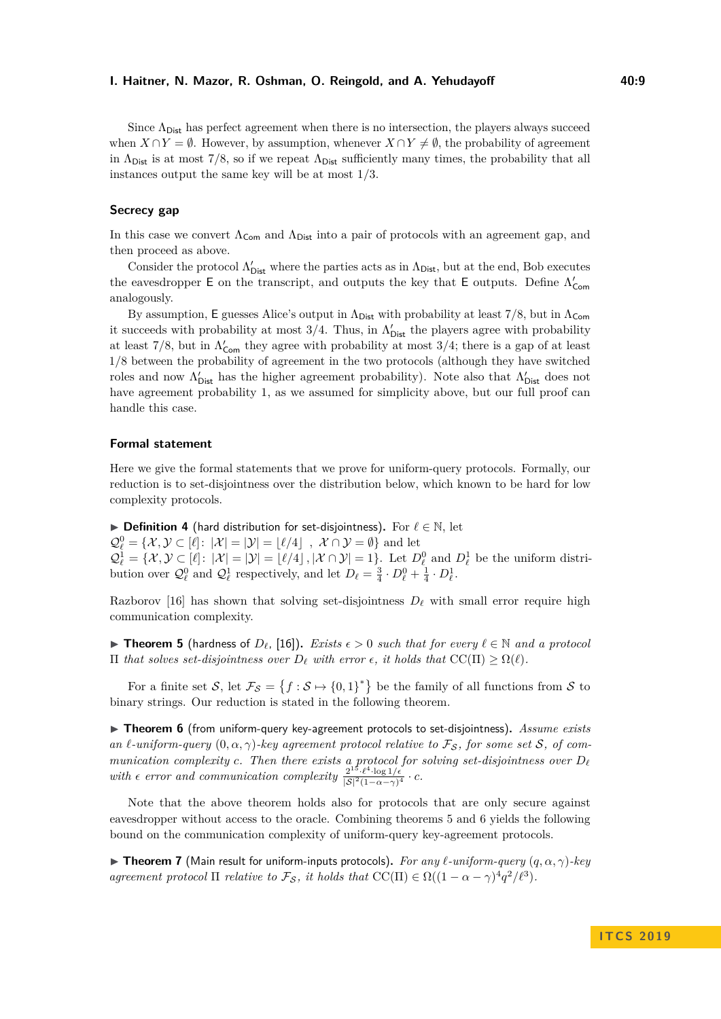Since  $\Lambda_{\text{Dist}}$  has perfect agreement when there is no intersection, the players always succeed when  $X \cap Y = \emptyset$ . However, by assumption, whenever  $X \cap Y \neq \emptyset$ , the probability of agreement in  $\Lambda_{\text{Dist}}$  is at most 7/8, so if we repeat  $\Lambda_{\text{Dist}}$  sufficiently many times, the probability that all instances output the same key will be at most 1*/*3.

## **Secrecy gap**

In this case we convert  $\Lambda_{\mathsf{Com}}$  and  $\Lambda_{\mathsf{Dist}}$  into a pair of protocols with an agreement gap, and then proceed as above.

Consider the protocol  $\Lambda'_{\text{Dist}}$  where the parties acts as in  $\Lambda_{\text{Dist}}$ , but at the end, Bob executes the eavesdropper  $E$  on the transcript, and outputs the key that  $E$  outputs. Define  $\Lambda'_{\mathsf{Com}}$ analogously.

By assumption, E guesses Alice's output in  $\Lambda_{\text{Dist}}$  with probability at least  $7/8$ , but in  $\Lambda_{\text{Com}}$ it succeeds with probability at most  $3/4$ . Thus, in  $\Lambda'_{\text{Dist}}$  the players agree with probability at least  $7/8$ , but in  $\Lambda_{\text{Com}}'$  they agree with probability at most 3/4; there is a gap of at least 1*/*8 between the probability of agreement in the two protocols (although they have switched roles and now  $\Lambda'_{\text{Dist}}$  has the higher agreement probability). Note also that  $\Lambda'_{\text{Dist}}$  does not have agreement probability 1, as we assumed for simplicity above, but our full proof can handle this case.

#### **Formal statement**

Here we give the formal statements that we prove for uniform-query protocols. Formally, our reduction is to set-disjointness over the distribution below, which known to be hard for low complexity protocols.

I **Definition 4** (hard distribution for set-disjointness)**.** For *`* ∈ N, let  $\mathcal{Q}_{\ell}^{0} = \{ \mathcal{X}, \mathcal{Y} \subset [\ell] \colon |\mathcal{X}| = |\mathcal{Y}| = \lfloor \ell/4 \rfloor \, , \ \mathcal{X} \cap \mathcal{Y} = \emptyset \}$  and let  $\mathcal{Q}_{\ell}^1 = \{X, \mathcal{Y} \subset [\ell]: |\mathcal{X}| = |\mathcal{Y}| = \lfloor \ell/4 \rfloor, |\mathcal{X} \cap \mathcal{Y}| = 1\}.$  Let  $D_{\ell}^0$  and  $D_{\ell}^1$  be the uniform distribution over  $\mathcal{Q}_{\ell}^0$  and  $\mathcal{Q}_{\ell}^1$  respectively, and let  $D_{\ell} = \frac{3}{4} \cdot D_{\ell}^0 + \frac{1}{4} \cdot D_{\ell}^1$ .

Razborov [\[16\]](#page-15-15) has shown that solving set-disjointness  $D_\ell$  with small error require high communication complexity.

<span id="page-8-0"></span>▶ **Theorem 5** (hardness of  $D_{\ell}$ , [\[16\]](#page-15-15)). *Exists*  $\epsilon > 0$  *such that for every*  $\ell \in \mathbb{N}$  *and a protocol*  $\Pi$  *that solves set-disjointness over*  $D_{\ell}$  *with error*  $\epsilon$ *, it holds that* CC( $\Pi$ ) ≥  $\Omega(\ell)$ *.* 

For a finite set S, let  $\mathcal{F}_{\mathcal{S}} = \{f : \mathcal{S} \mapsto \{0,1\}^*\}$  be the family of all functions from S to binary strings. Our reduction is stated in the following theorem.

<span id="page-8-1"></span>▶ **Theorem 6** (from uniform-query key-agreement protocols to set-disjointness). *Assume exists an*  $\ell$ -uniform-query  $(0, \alpha, \gamma)$ -key agreement protocol relative to  $\mathcal{F}_\mathcal{S}$ , for some set  $\mathcal{S}$ , of com*munication complexity c. Then there exists* a protocol for solving set-disjointness over  $D_{\ell}$ with  $\epsilon$  error and communication complexity  $\frac{2^{15} \cdot \ell^4 \cdot \log 1/\epsilon}{|S|^2 (1-\alpha-\gamma)^4} \cdot c$ .

Note that the above theorem holds also for protocols that are only secure against eavesdropper without access to the oracle. Combining theorems [5](#page-8-0) and [6](#page-8-1) yields the following bound on the communication complexity of uniform-query key-agreement protocols.

**If Theorem 7** (Main result for uniform-inputs protocols). For any  $\ell$ -uniform-query  $(q, \alpha, \gamma)$ -key *agreement protocol*  $\Pi$  *relative to*  $\mathcal{F}_{\mathcal{S}}$ *, it holds that*  $CC(\Pi) \in \Omega((1 - \alpha - \gamma)^4 q^2 / \ell^3)$ *.*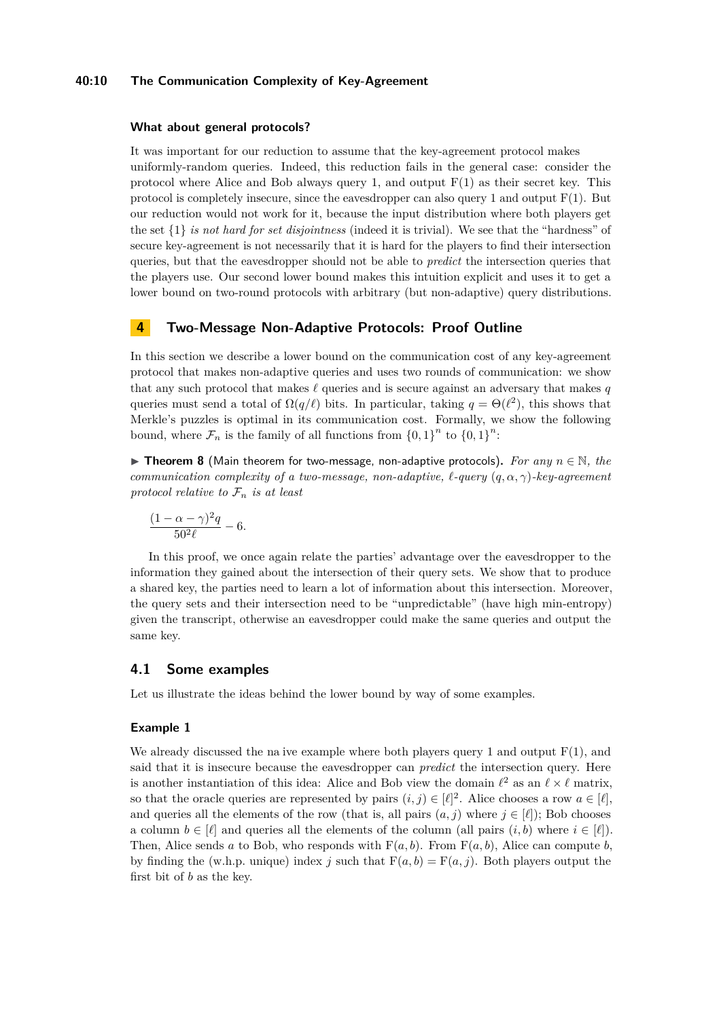## **40:10 The Communication Complexity of Key-Agreement**

#### **What about general protocols?**

It was important for our reduction to assume that the key-agreement protocol makes uniformly-random queries. Indeed, this reduction fails in the general case: consider the protocol where Alice and Bob always query 1, and output  $F(1)$  as their secret key. This protocol is completely insecure, since the eavesdropper can also query 1 and output  $F(1)$ . But our reduction would not work for it, because the input distribution where both players get the set {1} *is not hard for set disjointness* (indeed it is trivial). We see that the "hardness" of secure key-agreement is not necessarily that it is hard for the players to find their intersection queries, but that the eavesdropper should not be able to *predict* the intersection queries that the players use. Our second lower bound makes this intuition explicit and uses it to get a lower bound on two-round protocols with arbitrary (but non-adaptive) query distributions.

## **4 Two-Message Non-Adaptive Protocols: Proof Outline**

In this section we describe a lower bound on the communication cost of any key-agreement protocol that makes non-adaptive queries and uses two rounds of communication: we show that any such protocol that makes  $\ell$  queries and is secure against an adversary that makes  $q$ queries must send a total of  $\Omega(q/\ell)$  bits. In particular, taking  $q = \Theta(\ell^2)$ , this shows that Merkle's puzzles is optimal in its communication cost. Formally, we show the following bound, where  $\mathcal{F}_n$  is the family of all functions from  $\{0,1\}^n$  to  $\{0,1\}^n$ :

**► Theorem 8** (Main theorem for two-message, non-adaptive protocols). *For any*  $n \in \mathbb{N}$ , *the communication complexity of a two-message, non-adaptive,*  $\ell$ -query  $(q, \alpha, \gamma)$ -key-agreement *protocol relative to*  $\mathcal{F}_n$  *is at least* 

$$
\frac{(1-\alpha-\gamma)^2q}{50^2\ell}-6.
$$

In this proof, we once again relate the parties' advantage over the eavesdropper to the information they gained about the intersection of their query sets. We show that to produce a shared key, the parties need to learn a lot of information about this intersection. Moreover, the query sets and their intersection need to be "unpredictable" (have high min-entropy) given the transcript, otherwise an eavesdropper could make the same queries and output the same key.

## **4.1 Some examples**

Let us illustrate the ideas behind the lower bound by way of some examples.

#### **Example 1**

We already discussed the na ive example where both players query 1 and output  $F(1)$ , and said that it is insecure because the eavesdropper can *predict* the intersection query. Here is another instantiation of this idea: Alice and Bob view the domain  $\ell^2$  as an  $\ell \times \ell$  matrix, so that the oracle queries are represented by pairs  $(i, j) \in [\ell]^2$ . Alice chooses a row  $a \in [\ell]$ , and queries all the elements of the row (that is, all pairs  $(a, j)$  where  $j \in [\ell]$ ); Bob chooses a column  $b \in [\ell]$  and queries all the elements of the column (all pairs  $(i, b)$  where  $i \in [\ell]$ ). Then, Alice sends *a* to Bob, who responds with  $F(a, b)$ . From  $F(a, b)$ , Alice can compute *b*, by finding the (w.h.p. unique) index *j* such that  $F(a, b) = F(a, j)$ . Both players output the first bit of *b* as the key.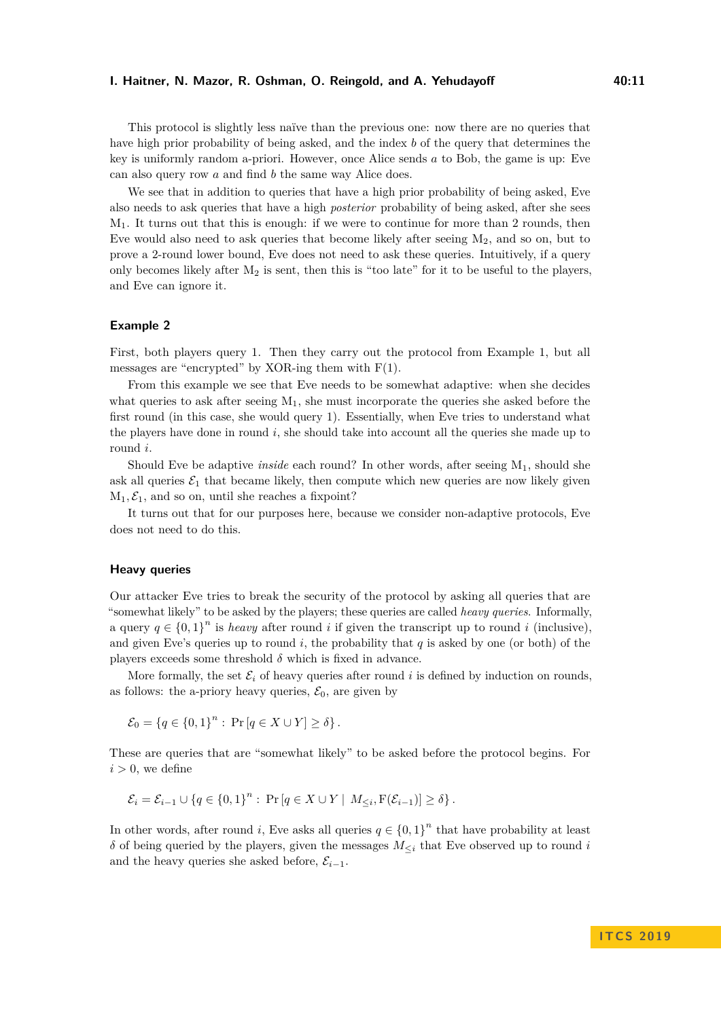This protocol is slightly less naïve than the previous one: now there are no queries that have high prior probability of being asked, and the index *b* of the query that determines the key is uniformly random a-priori. However, once Alice sends *a* to Bob, the game is up: Eve can also query row *a* and find *b* the same way Alice does.

We see that in addition to queries that have a high prior probability of being asked, Eve also needs to ask queries that have a high *posterior* probability of being asked, after she sees  $M_1$ . It turns out that this is enough: if we were to continue for more than 2 rounds, then Eve would also need to ask queries that become likely after seeing  $M_2$ , and so on, but to prove a 2-round lower bound, Eve does not need to ask these queries. Intuitively, if a query only becomes likely after  $M_2$  is sent, then this is "too late" for it to be useful to the players, and Eve can ignore it.

## **Example 2**

First, both players query 1. Then they carry out the protocol from Example 1, but all messages are "encrypted" by XOR-ing them with  $F(1)$ .

From this example we see that Eve needs to be somewhat adaptive: when she decides what queries to ask after seeing  $M_1$ , she must incorporate the queries she asked before the first round (in this case, she would query 1). Essentially, when Eve tries to understand what the players have done in round  $i$ , she should take into account all the queries she made up to round *i*.

Should Eve be adaptive *inside* each round? In other words, after seeing M<sub>1</sub>, should she ask all queries  $\mathcal{E}_1$  that became likely, then compute which new queries are now likely given  $M_1, \mathcal{E}_1$ , and so on, until she reaches a fixpoint?

It turns out that for our purposes here, because we consider non-adaptive protocols, Eve does not need to do this.

#### **Heavy queries**

Our attacker Eve tries to break the security of the protocol by asking all queries that are "somewhat likely" to be asked by the players; these queries are called *heavy queries*. Informally, a query  $q \in \{0,1\}^n$  is *heavy* after round *i* if given the transcript up to round *i* (inclusive), and given Eve's queries up to round  $i$ , the probability that  $q$  is asked by one (or both) of the players exceeds some threshold  $\delta$  which is fixed in advance.

More formally, the set  $\mathcal{E}_i$  of heavy queries after round *i* is defined by induction on rounds, as follows: the a-priory heavy queries,  $\mathcal{E}_0$ , are given by

$$
\mathcal{E}_0 = \{q \in \{0,1\}^n : \Pr[q \in X \cup Y] \ge \delta\}.
$$

These are queries that are "somewhat likely" to be asked before the protocol begins. For  $i > 0$ , we define

$$
\mathcal{E}_i = \mathcal{E}_{i-1} \cup \{q \in \{0,1\}^n : \Pr[q \in X \cup Y \mid M_{\leq i}, F(\mathcal{E}_{i-1})] \geq \delta\}.
$$

In other words, after round *i*, Eve asks all queries  $q \in \{0,1\}^n$  that have probability at least *δ* of being queried by the players, given the messages *M*<sup>≤</sup>*<sup>i</sup>* that Eve observed up to round *i* and the heavy queries she asked before,  $\mathcal{E}_{i-1}$ .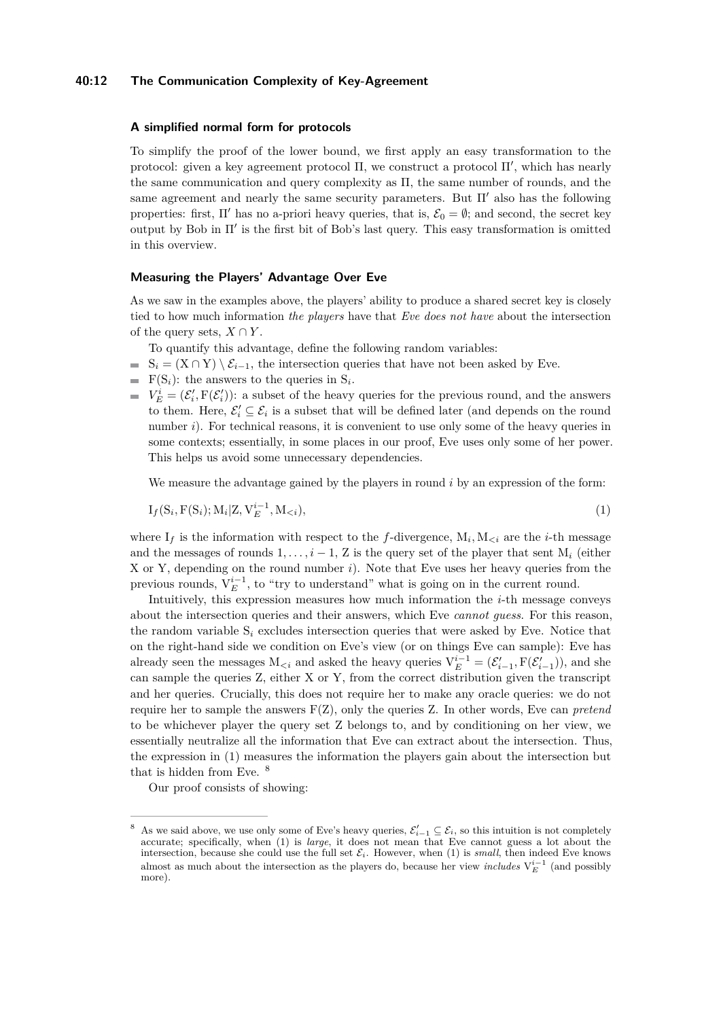## **40:12 The Communication Complexity of Key-Agreement**

#### **A simplified normal form for protocols**

To simplify the proof of the lower bound, we first apply an easy transformation to the protocol: given a key agreement protocol  $\Pi$ , we construct a protocol  $\Pi'$ , which has nearly the same communication and query complexity as Π, the same number of rounds, and the same agreement and nearly the same security parameters. But  $\Pi'$  also has the following properties: first,  $\Pi'$  has no a-priori heavy queries, that is,  $\mathcal{E}_0 = \emptyset$ ; and second, the secret key output by Bob in  $\Pi'$  is the first bit of Bob's last query. This easy transformation is omitted in this overview.

#### **Measuring the Players' Advantage Over Eve**

As we saw in the examples above, the players' ability to produce a shared secret key is closely tied to how much information *the players* have that *Eve does not have* about the intersection of the query sets,  $X \cap Y$ .

To quantify this advantage, define the following random variables:

- $S_i = (X \cap Y) \setminus \mathcal{E}_{i-1}$ , the intersection queries that have not been asked by Eve.
- $F(S_i)$ : the answers to the queries in  $S_i$ .
- $V_E^i = (\mathcal{E}'_i, F(\mathcal{E}'_i))$ : a subset of the heavy queries for the previous round, and the answers to them. Here,  $\mathcal{E}'_i \subseteq \mathcal{E}_i$  is a subset that will be defined later (and depends on the round number *i*). For technical reasons, it is convenient to use only some of the heavy queries in some contexts; essentially, in some places in our proof, Eve uses only some of her power. This helps us avoid some unnecessary dependencies.

<span id="page-11-0"></span>We measure the advantage gained by the players in round *i* by an expression of the form:

$$
I_f(S_i, F(S_i); M_i | Z, V_E^{i-1}, M_{< i}),
$$
\n(1)

where  $I_f$  is the information with respect to the *f*-divergence,  $M_i$ ,  $M_{\leq i}$  are the *i*-th message and the messages of rounds  $1, \ldots, i-1$ , Z is the query set of the player that sent  $M_i$  (either X or Y, depending on the round number *i*). Note that Eve uses her heavy queries from the previous rounds,  $V_E^{i-1}$ , to "try to understand" what is going on in the current round.

Intuitively, this expression measures how much information the *i*-th message conveys about the intersection queries and their answers, which Eve *cannot guess*. For this reason, the random variable  $S_i$  excludes intersection queries that were asked by Eve. Notice that on the right-hand side we condition on Eve's view (or on things Eve can sample): Eve has already seen the messages  $M_{\leq i}$  and asked the heavy queries  $V_E^{i-1} = (\mathcal{E}'_{i-1}, F(\mathcal{E}'_{i-1}))$ , and she can sample the queries Z, either X or Y, from the correct distribution given the transcript and her queries. Crucially, this does not require her to make any oracle queries: we do not require her to sample the answers F(Z), only the queries Z. In other words, Eve can *pretend* to be whichever player the query set Z belongs to, and by conditioning on her view, we essentially neutralize all the information that Eve can extract about the intersection. Thus, the expression in [\(1\)](#page-11-0) measures the information the players gain about the intersection but that is hidden from Eve. [8](#page-11-1)

Our proof consists of showing:

<span id="page-11-1"></span><sup>&</sup>lt;sup>8</sup> As we said above, we use only some of Eve's heavy queries,  $\mathcal{E}'_{i-1} \subseteq \mathcal{E}_i$ , so this intuition is not completely accurate; specifically, when [\(1\)](#page-11-0) is *large*, it does not mean that Eve cannot guess a lot about the intersection, because she could use the full set  $\mathcal{E}_i$ . However, when [\(1\)](#page-11-0) is *small*, then indeed Eve knows almost as much about the intersection as the players do, because her view *includes*  $V_E^{i-1}$  (and possibly more).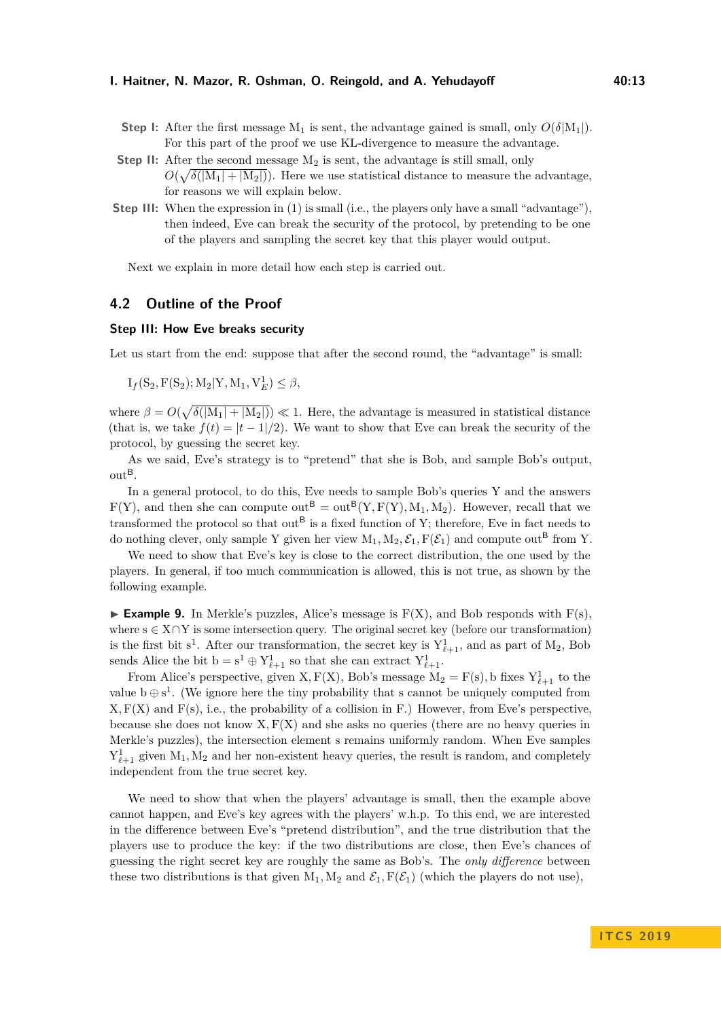- **Step I:** After the first message  $M_1$  is sent, the advantage gained is small, only  $O(\delta|M_1|)$ . For this part of the proof we use KL-divergence to measure the advantage.
- **Step II:** After the second message  $M_2$  is sent, the advantage is still small, only  $O(\sqrt{\delta(|M_1| + |M_2|)})$ . Here we use statistical distance to measure the advantage, for reasons we will explain below.
- **Step III:** When the expression in [\(1\)](#page-11-0) is small (i.e., the players only have a small "advantage"), then indeed, Eve can break the security of the protocol, by pretending to be one of the players and sampling the secret key that this player would output.

Next we explain in more detail how each step is carried out.

## **4.2 Outline of the Proof**

## **Step III: How Eve breaks security**

Let us start from the end: suppose that after the second round, the "advantage" is small:

$$
I_f(S_2, F(S_2); M_2|Y, M_1, V_E^1) \le \beta,
$$

where  $\beta = O(\sqrt{\delta(|M_1| + |M_2|)}) \ll 1$ . Here, the advantage is measured in statistical distance (that is, we take  $f(t) = |t - 1|/2$ ). We want to show that Eve can break the security of the protocol, by guessing the secret key.

As we said, Eve's strategy is to "pretend" that she is Bob, and sample Bob's output,  $\text{out}^{\mathsf{B}}$ .

In a general protocol, to do this, Eve needs to sample Bob's queries Y and the answers  $F(Y)$ , and then she can compute out<sup>B</sup> = out<sup>B</sup>(Y, F(Y), M<sub>1</sub>, M<sub>2</sub>). However, recall that we transformed the protocol so that  $out^B$  is a fixed function of Y; therefore, Eve in fact needs to do nothing clever, only sample Y given her view  $M_1, M_2, \mathcal{E}_1, F(\mathcal{E}_1)$  and compute out<sup>B</sup> from Y.

We need to show that Eve's key is close to the correct distribution, the one used by the players. In general, if too much communication is allowed, this is not true, as shown by the following example.

**Example 9.** In Merkle's puzzles, Alice's message is  $F(X)$ , and Bob responds with  $F(s)$ . where  $s \in X \cap Y$  is some intersection query. The original secret key (before our transformation) is the first bit s<sup>1</sup>. After our transformation, the secret key is  $Y^1_{\ell+1}$ , and as part of M<sub>2</sub>, Bob sends Alice the bit  $b = s^1 \oplus Y^1_{\ell+1}$  so that she can extract  $Y^1_{\ell+1}$ .

From Alice's perspective, given X,  $F(X)$ , Bob's message  $M_2 = F(s)$ , b fixes  $Y_{\ell+1}^1$  to the value  $b \oplus s^1$ . (We ignore here the tiny probability that s cannot be uniquely computed from  $X, F(X)$  and  $F(s)$ , i.e., the probability of a collision in F.) However, from Eve's perspective, because she does not know  $X, F(X)$  and she asks no queries (there are no heavy queries in Merkle's puzzles), the intersection element s remains uniformly random. When Eve samples  $Y_{\ell+1}^1$  given  $M_1, M_2$  and her non-existent heavy queries, the result is random, and completely independent from the true secret key.

We need to show that when the players' advantage is small, then the example above cannot happen, and Eve's key agrees with the players' w.h.p. To this end, we are interested in the difference between Eve's "pretend distribution", and the true distribution that the players use to produce the key: if the two distributions are close, then Eve's chances of guessing the right secret key are roughly the same as Bob's. The *only difference* between these two distributions is that given  $M_1, M_2$  and  $\mathcal{E}_1, F(\mathcal{E}_1)$  (which the players do not use),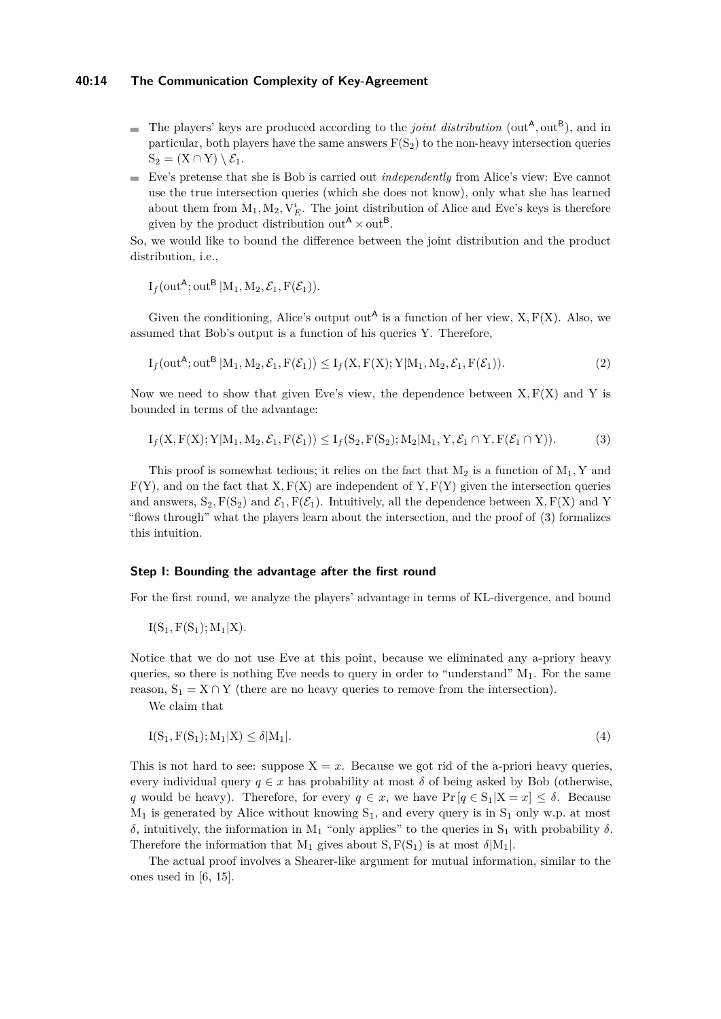## **40:14 The Communication Complexity of Key-Agreement**

- The players' keys are produced according to the *joint distribution* (out<sup>A</sup>, out<sup>B</sup>), and in particular, both players have the same answers  $F(S_2)$  to the non-heavy intersection queries  $S_2 = (X \cap Y) \setminus \mathcal{E}_1.$
- Eve's pretense that she is Bob is carried out *independently* from Alice's view: Eve cannot  $\mathbf{r}$ use the true intersection queries (which she does not know), only what she has learned about them from  $M_1, M_2, V_E^i$ . The joint distribution of Alice and Eve's keys is therefore given by the product distribution out<sup>A</sup>  $\times$  out<sup>B</sup>.

So, we would like to bound the difference between the joint distribution and the product distribution, i.e.,

$$
I_f(\text{out}^A; \text{out}^B | M_1, M_2, \mathcal{E}_1, F(\mathcal{E}_1)).
$$

Given the conditioning, Alice's output out<sup>A</sup> is a function of her view,  $X, F(X)$ . Also, we assumed that Bob's output is a function of his queries Y. Therefore,

$$
I_f(\text{out}^A; \text{out}^B | M_1, M_2, \mathcal{E}_1, F(\mathcal{E}_1)) \le I_f(X, F(X); Y | M_1, M_2, \mathcal{E}_1, F(\mathcal{E}_1)).
$$
\n
$$
(2)
$$

Now we need to show that given Eve's view, the dependence between  $X, F(X)$  and Y is bounded in terms of the advantage:

<span id="page-13-0"></span>
$$
I_f(X, F(X); Y|M_1, M_2, \mathcal{E}_1, F(\mathcal{E}_1)) \le I_f(S_2, F(S_2); M_2|M_1, Y, \mathcal{E}_1 \cap Y, F(\mathcal{E}_1 \cap Y)).
$$
\n(3)

This proof is somewhat tedious; it relies on the fact that  $M_2$  is a function of  $M_1$ , Y and  $F(Y)$ , and on the fact that  $X, F(X)$  are independent of  $Y, F(Y)$  given the intersection queries and answers,  $S_2$ ,  $F(S_2)$  and  $\mathcal{E}_1$ ,  $F(\mathcal{E}_1)$ . Intuitively, all the dependence between X,  $F(X)$  and Y "flows through" what the players learn about the intersection, and the proof of [\(3\)](#page-13-0) formalizes this intuition.

## **Step I: Bounding the advantage after the first round**

For the first round, we analyze the players' advantage in terms of KL-divergence, and bound

 $I(S_1, F(S_1); M_1|X)$ .

Notice that we do not use Eve at this point, because we eliminated any a-priory heavy queries, so there is nothing Eve needs to query in order to "understand"  $M_1$ . For the same reason,  $S_1 = X \cap Y$  (there are no heavy queries to remove from the intersection).

We claim that

$$
I(S_1, F(S_1); M_1|X) \le \delta|M_1|.\tag{4}
$$

This is not hard to see: suppose  $X = x$ . Because we got rid of the a-priori heavy queries, every individual query  $q \in x$  has probability at most  $\delta$  of being asked by Bob (otherwise, *q* would be heavy). Therefore, for every  $q \in x$ , we have  $Pr [q \in S_1 | X = x] \leq \delta$ . Because  $M_1$  is generated by Alice without knowing  $S_1$ , and every query is in  $S_1$  only w.p. at most  $δ$ , intuitively, the information in M<sub>1</sub> "only applies" to the queries in S<sub>1</sub> with probability  $δ$ . Therefore the information that  $M_1$  gives about  $S, F(S_1)$  is at most  $\delta|M_1|$ .

The actual proof involves a Shearer-like argument for mutual information, similar to the ones used in [\[6,](#page-15-16) [15\]](#page-15-17).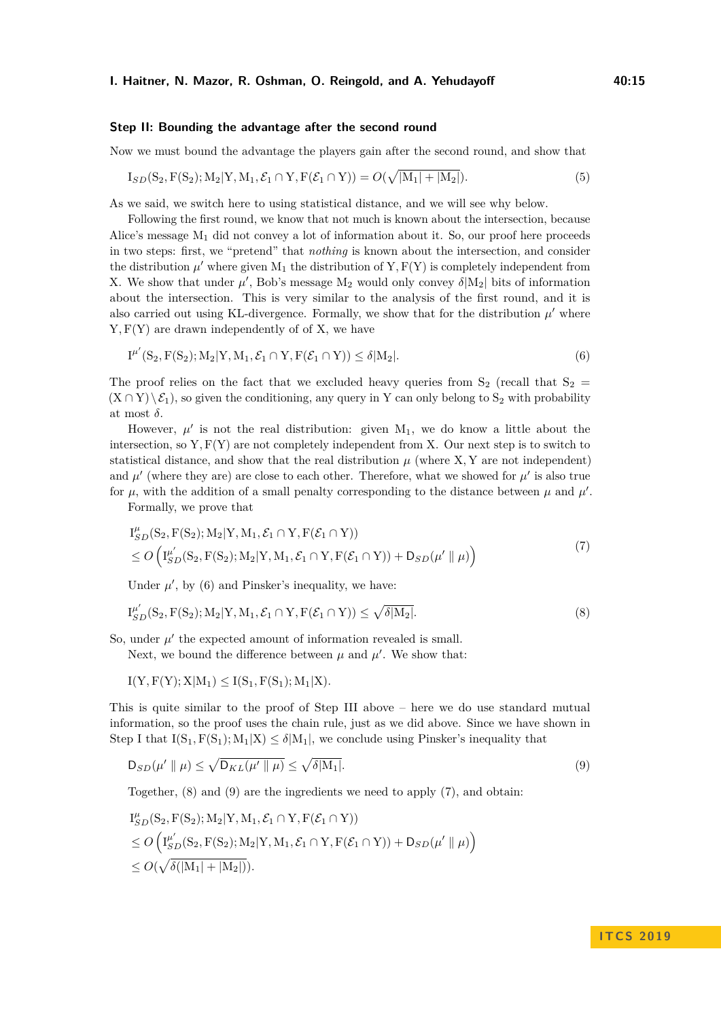#### **Step II: Bounding the advantage after the second round**

Now we must bound the advantage the players gain after the second round, and show that

$$
I_{SD}(S_2, F(S_2); M_2|Y, M_1, \mathcal{E}_1 \cap Y, F(\mathcal{E}_1 \cap Y)) = O(\sqrt{|M_1| + |M_2|}).
$$
\n(5)

As we said, we switch here to using statistical distance, and we will see why below.

Following the first round, we know that not much is known about the intersection, because Alice's message  $M_1$  did not convey a lot of information about it. So, our proof here proceeds in two steps: first, we "pretend" that *nothing* is known about the intersection, and consider the distribution  $\mu'$  where given  $M_1$  the distribution of Y,  $F(Y)$  is completely independent from X. We show that under  $\mu'$ , Bob's message  $M_2$  would only convey  $\delta|M_2|$  bits of information about the intersection. This is very similar to the analysis of the first round, and it is also carried out using KL-divergence. Formally, we show that for the distribution  $\mu'$  where Y*,* F(Y) are drawn independently of of X, we have

<span id="page-14-0"></span>
$$
I^{\mu'}(S_2, F(S_2); M_2|Y, M_1, \mathcal{E}_1 \cap Y, F(\mathcal{E}_1 \cap Y)) \le \delta|M_2|.
$$
\n
$$
(6)
$$

The proof relies on the fact that we excluded heavy queries from  $S_2$  (recall that  $S_2$  =  $(X \cap Y) \setminus \mathcal{E}_1$ , so given the conditioning, any query in Y can only belong to  $S_2$  with probability at most  $\delta$ .

However,  $\mu'$  is not the real distribution: given  $M_1$ , we do know a little about the intersection, so  $Y, F(Y)$  are not completely independent from X. Our next step is to switch to statistical distance, and show that the real distribution  $\mu$  (where X, Y are not independent) and  $\mu'$  (where they are) are close to each other. Therefore, what we showed for  $\mu'$  is also true for  $\mu$ , with the addition of a small penalty corresponding to the distance between  $\mu$  and  $\mu'$ .

Formally, we prove that

<span id="page-14-3"></span>
$$
I_{SD}^{\mu}(S_2, F(S_2); M_2|Y, M_1, \mathcal{E}_1 \cap Y, F(\mathcal{E}_1 \cap Y))
$$
  
\n
$$
\leq O\left(I_{SD}^{\mu'}(S_2, F(S_2); M_2|Y, M_1, \mathcal{E}_1 \cap Y, F(\mathcal{E}_1 \cap Y)) + D_{SD}(\mu' \parallel \mu)\right)
$$
\n(7)

<span id="page-14-1"></span>Under  $\mu'$ , by [\(6\)](#page-14-0) and Pinsker's inequality, we have:

$$
I_{SD}^{\mu'}(S_2, F(S_2); M_2|Y, M_1, \mathcal{E}_1 \cap Y, F(\mathcal{E}_1 \cap Y)) \le \sqrt{\delta |M_2|}.
$$
\n
$$
(8)
$$

So, under  $\mu'$  the expected amount of information revealed is small.

Next, we bound the difference between  $\mu$  and  $\mu'$ . We show that:

 $I(Y, F(Y); X|M_1) \leq I(S_1, F(S_1); M_1|X)$ .

This is quite similar to the proof of Step III above – here we do use standard mutual information, so the proof uses the chain rule, just as we did above. Since we have shown in Step I that  $I(S_1, F(S_1); M_1|X) \leq \delta |M_1|$ , we conclude using Pinsker's inequality that

<span id="page-14-2"></span>
$$
D_{SD}(\mu' \parallel \mu) \le \sqrt{D_{KL}(\mu' \parallel \mu)} \le \sqrt{\delta|M_1|}.
$$
\n(9)

Together, [\(8\)](#page-14-1) and [\(9\)](#page-14-2) are the ingredients we need to apply [\(7\)](#page-14-3), and obtain:

$$
\begin{aligned} &I_{SD}^{\mu}(\mathbf{S}_2, \mathbf{F}(\mathbf{S}_2); \mathbf{M}_2 | \mathbf{Y}, \mathbf{M}_1, \mathcal{E}_1 \cap \mathbf{Y}, \mathbf{F}(\mathcal{E}_1 \cap \mathbf{Y})) \\ &\le O\left(\mathbf{I}_{SD}^{\mu'}(\mathbf{S}_2, \mathbf{F}(\mathbf{S}_2); \mathbf{M}_2 | \mathbf{Y}, \mathbf{M}_1, \mathcal{E}_1 \cap \mathbf{Y}, \mathbf{F}(\mathcal{E}_1 \cap \mathbf{Y})) + \mathbf{D}_{SD}(\mu' \parallel \mu)\right) \\ &\le O(\sqrt{\delta(|\mathbf{M}_1| + |\mathbf{M}_2|)}). \end{aligned}
$$